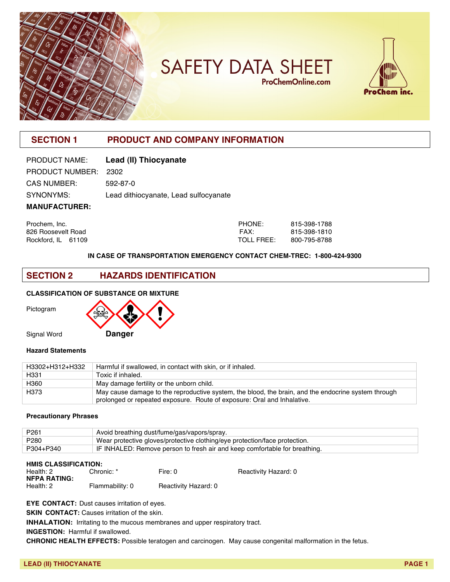

# **SAFETY DATA SHEET ProChemOnline.com**



# **SECTION 1 PRODUCT AND COMPANY INFORMATION**

| PRODUCT NAME:        | Lead (II) Thiocyanate                 |
|----------------------|---------------------------------------|
| PRODUCT NUMBER: 2302 |                                       |
| <b>CAS NUMBER:</b>   | 592-87-0                              |
| SYNONYMS:            | Lead dithiocyanate, Lead sulfocyanate |
| <b>MANUFACTURER:</b> |                                       |

| Prochem, Inc.      | PHONE:     | 815-398-1788 |
|--------------------|------------|--------------|
| 826 Roosevelt Road | FAX:       | 815-398-1810 |
| Rockford. IL 61109 | TOLL FREE: | 800-795-8788 |

#### **IN CASE OF TRANSPORTATION EMERGENCY CONTACT CHEM-TREC: 1-800-424-9300**

### **SECTION 2 HAZARDS IDENTIFICATION**

#### **CLASSIFICATION OF SUBSTANCE OR MIXTURE**

Pictogram



#### **Hazard Statements**

| H3302+H312+H332  | Harmful if swallowed, in contact with skin, or if inhaled.                                          |
|------------------|-----------------------------------------------------------------------------------------------------|
| H331             | Toxic if inhaled.                                                                                   |
| H360             | May damage fertility or the unborn child.                                                           |
| H <sub>373</sub> | May cause damage to the reproductive system, the blood, the brain, and the endocrine system through |
|                  | prolonged or repeated exposure. Route of exposure: Oral and Inhalative.                             |

#### **Precautionary Phrases**

| P <sub>261</sub> | Avoid breathing dust/fume/gas/vapors/spray.                                |
|------------------|----------------------------------------------------------------------------|
| P280             | Wear protective gloves/protective clothing/eye protection/face protection. |
| P304+P340        | IF INHALED: Remove person to fresh air and keep comfortable for breathing. |

| <b>HMIS CLASSIFICATION:</b> |                 |                      |                      |
|-----------------------------|-----------------|----------------------|----------------------|
| Health: 2                   | Chronic: *      | Fire: 0              | Reactivity Hazard: 0 |
| <b>NFPA RATING:</b>         |                 |                      |                      |
| Health: 2                   | Flammability: 0 | Reactivity Hazard: 0 |                      |

**EYE CONTACT:** Dust causes irritation of eyes.

**SKIN CONTACT:** Causes irritation of the skin.

**INHALATION:** Irritating to the mucous membranes and upper respiratory tract.

**INGESTION:** Harmful if swallowed.

**CHRONIC HEALTH EFFECTS:** Possible teratogen and carcinogen. May cause congenital malformation in the fetus.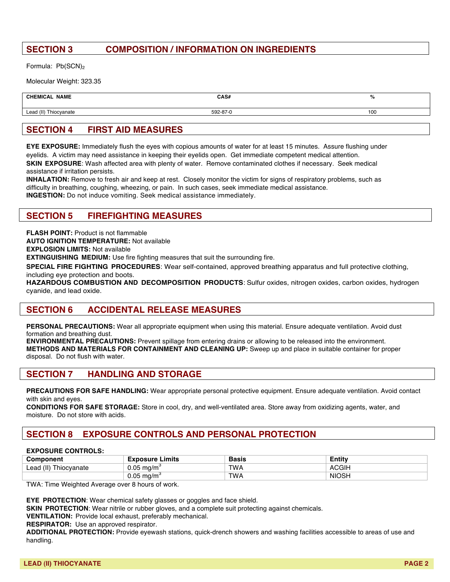# **SECTION 3 COMPOSITION / INFORMATION ON INGREDIENTS**

Formula: Pb(SCN)<sub>2</sub>

Molecular Weight: 323.35

| <b>CHEMICAL NAME</b>  | CAS#     | ‰   |
|-----------------------|----------|-----|
| Lead (II) Thiocyanate | 592-87-0 | 100 |
|                       |          |     |

# **SECTION 4 FIRST AID MEASURES**

**EYE EXPOSURE:** Immediately flush the eyes with copious amounts of water for at least 15 minutes. Assure flushing under eyelids. A victim may need assistance in keeping their eyelids open. Get immediate competent medical attention. **SKIN EXPOSURE**: Wash affected area with plenty of water. Remove contaminated clothes if necessary. Seek medical assistance if irritation persists.

**INHALATION:** Remove to fresh air and keep at rest. Closely monitor the victim for signs of respiratory problems, such as difficulty in breathing, coughing, wheezing, or pain. In such cases, seek immediate medical assistance. **INGESTION:** Do not induce vomiting. Seek medical assistance immediately.

### **SECTION 5 FIREFIGHTING MEASURES**

**FLASH POINT: Product is not flammable** 

**AUTO IGNITION TEMPERATURE:** Not available

**EXPLOSION LIMITS:** Not available

**EXTINGUISHING MEDIUM:** Use fire fighting measures that suit the surrounding fire.

**SPECIAL FIRE FIGHTING PROCEDURES**: Wear self-contained, approved breathing apparatus and full protective clothing, including eye protection and boots.

**HAZARDOUS COMBUSTION AND DECOMPOSITION PRODUCTS**: Sulfur oxides, nitrogen oxides, carbon oxides, hydrogen cyanide, and lead oxide.

# **SECTION 6 ACCIDENTAL RELEASE MEASURES**

**PERSONAL PRECAUTIONS:** Wear all appropriate equipment when using this material. Ensure adequate ventilation. Avoid dust formation and breathing dust.

**ENVIRONMENTAL PRECAUTIONS:** Prevent spillage from entering drains or allowing to be released into the environment. **METHODS AND MATERIALS FOR CONTAINMENT AND CLEANING UP:** Sweep up and place in suitable container for proper disposal. Do not flush with water.

### **SECTION 7 HANDLING AND STORAGE**

**PRECAUTIONS FOR SAFE HANDLING:** Wear appropriate personal protective equipment. Ensure adequate ventilation. Avoid contact with skin and eyes.

**CONDITIONS FOR SAFE STORAGE:** Store in cool, dry, and well-ventilated area. Store away from oxidizing agents, water, and moisture. Do not store with acids.

# **SECTION 8 EXPOSURE CONTROLS AND PERSONAL PROTECTION**

#### **EXPOSURE CONTROLS:**

| Component                   | _imits<br><b>xposure</b> | Basis      | ∠ntitv       |
|-----------------------------|--------------------------|------------|--------------|
| $L$ ead (II)<br>Thiocyanate | 0.05<br>ma/m             | <b>TWA</b> | <b>ACGIH</b> |
|                             | ).05<br>ma/m             | <b>TWA</b> | <b>NIOSH</b> |

TWA: Time Weighted Average over 8 hours of work.

**EYE PROTECTION**: Wear chemical safety glasses or goggles and face shield.

**SKIN PROTECTION:** Wear nitrile or rubber gloves, and a complete suit protecting against chemicals.

**VENTILATION:** Provide local exhaust, preferably mechanical.

**RESPIRATOR:** Use an approved respirator.

**ADDITIONAL PROTECTION:** Provide eyewash stations, quick-drench showers and washing facilities accessible to areas of use and handling.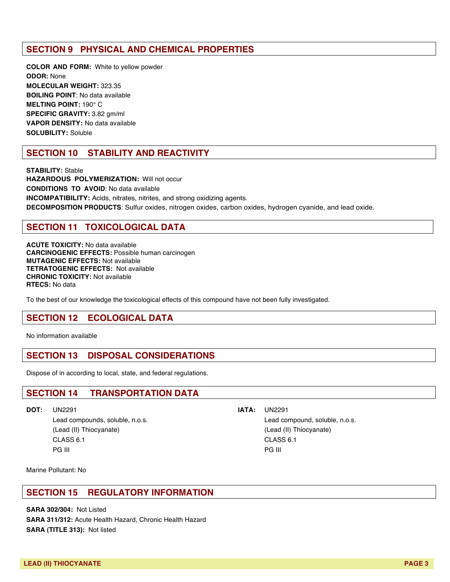# **SECTION 9 PHYSICAL AND CHEMICAL PROPERTIES**

**COLOR AND FORM:** White to yellow powder **ODOR:** None **MOLECULAR WEIGHT:** 323.35 **BOILING POINT**: No data available **MELTING POINT:** 190° C **SPECIFIC GRAVITY:** 3.82 gm/ml **VAPOR DENSITY:** No data available **SOLUBILITY:** Soluble

# **SECTION 10 STABILITY AND REACTIVITY**

**STABILITY:** Stable **HAZARDOUS POLYMERIZATION:** Will not occur **CONDITIONS TO AVOID**: No data available **INCOMPATIBILITY:** Acids, nitrates, nitrites, and strong oxidizing agents. **DECOMPOSITION PRODUCTS**: Sulfur oxides, nitrogen oxides, carbon oxides, hydrogen cyanide, and lead oxide.

# **SECTION 11 TOXICOLOGICAL DATA**

**ACUTE TOXICITY:** No data available **CARCINOGENIC EFFECTS:** Possible human carcinogen **MUTAGENIC EFFECTS:** Not available **TETRATOGENIC EFFECTS:** Not available **CHRONIC TOXICITY:** Not available **RTECS:** No data

To the best of our knowledge the toxicological effects of this compound have not been fully investigated.

### **SECTION 12 ECOLOGICAL DATA**

No information available

### **SECTION 13 DISPOSAL CONSIDERATIONS**

Dispose of in according to local, state, and federal regulations.

### **SECTION 14 TRANSPORTATION DATA**

(Lead (II) Thiocyanate) (Lead (II) Thiocyanate) CLASS 6.1 CLASS 6.1 PG III PG III PG III PG III PG III PG III PG III PG III PG III PG III PG III PG III

#### **DOT:** UN2291 **IATA:** UN2291

Lead compounds, soluble, n.o.s. Lead compound, soluble, n.o.s.

Marine Pollutant: No

### **SECTION 15 REGULATORY INFORMATION**

**SARA 302/304:** Not Listed **SARA 311/312:** Acute Health Hazard, Chronic Health Hazard **SARA (TITLE 313):** Not listed